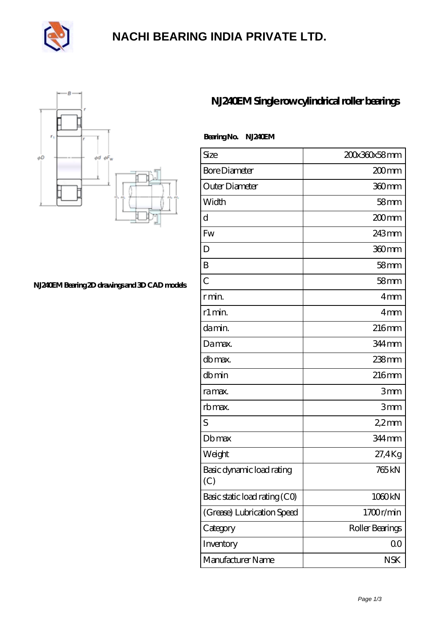

### **[NACHI BEARING INDIA PRIVATE LTD.](https://pipilatou.com)**



### **[NJ240EM Bearing 2D drawings and 3D CAD models](https://pipilatou.com/pic-207388.html)**

### **[NJ240EM Single row cylindrical roller bearings](https://pipilatou.com/bb-207388-nj240em-single-row-cylindrical-roller-bearings.html)**

#### **Bearing No. NJ240EM**

| Size                             | 200x360x58mm      |
|----------------------------------|-------------------|
| <b>Bore Diameter</b>             | 200 <sub>mm</sub> |
| Outer Diameter                   | 360mm             |
| Width                            | 58 <sub>mm</sub>  |
| d                                | 200mm             |
| Fw                               | 243mm             |
| D                                | 360mm             |
| B                                | 58 <sub>mm</sub>  |
| $\overline{C}$                   | 58 <sub>mm</sub>  |
| r min.                           | 4mm               |
| r1 min.                          | 4mm               |
| da min.                          | 216mm             |
| Damax.                           | 344 mm            |
| db max.                          | 238mm             |
| dbmin                            | 216 <sub>mm</sub> |
| ra max.                          | 3mm               |
| rb max.                          | 3mm               |
| S                                | $22$ mm           |
| <b>Db</b> max                    | 344 mm            |
| Weight                           | 27,4Kg            |
| Basic dynamic load rating<br>(C) | 765 <sub>kN</sub> |
| Basic static load rating (CO)    | 1060kN            |
| (Grease) Lubrication Speed       | 1700r/min         |
| Category                         | Roller Bearings   |
| Inventory                        | QO                |
| Manufacturer Name                | <b>NSK</b>        |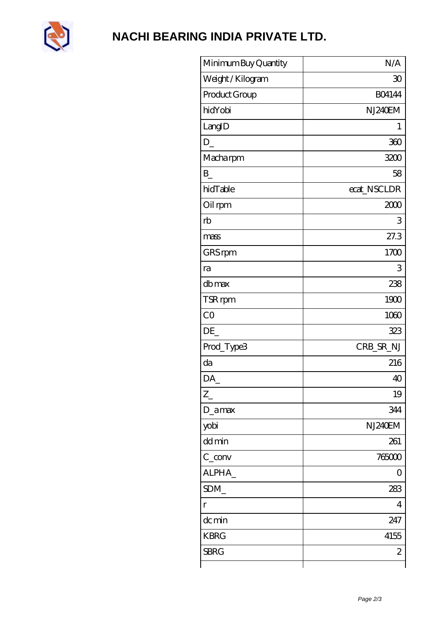

# NACHI BEARING INDIA PRIVATE LTD.

| Minimum Buy Quantity | N/A           |
|----------------------|---------------|
| Weight / Kilogram    | 30            |
| Product Group        | <b>BO4144</b> |
| hidYobi              | NJ240EM       |
| LangID               | 1             |
| D                    | 360           |
| Macharpm             | 3200          |
| B                    | 58            |
| hidTable             | ecat_NSCLDR   |
| Oil rpm              | 2000          |
| rb                   | 3             |
| mass                 | 27.3          |
| GRS rpm              | 1700          |
| ra                   | 3             |
| db max               | 238           |
| TSR rpm              | 1900          |
| CO                   | 1060          |
| DE_                  | 323           |
| Prod_Type3           | CRB_SR_NJ     |
| da                   | 216           |
| DA                   | 40            |
| $Z_{-}$              | 19            |
| $D_$ <sub>amax</sub> | 344           |
| yobi                 | NJ240EM       |
| dd min               | 261           |
| $C_{conv}$           | 765000        |
| ALPHA                | 0             |
| SDM_                 | 283           |
| r                    | 4             |
| dc min               | 247           |
| <b>KBRG</b>          | 4155          |
| <b>SBRG</b>          | $\mathbf{z}$  |
|                      |               |